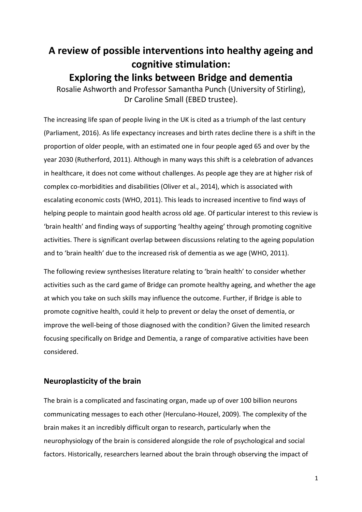# **A review of possible interventions into healthy ageing and cognitive stimulation: Exploring the links between Bridge and dementia** Rosalie Ashworth and Professor Samantha Punch (University of Stirling),

Dr Caroline Small (EBED trustee).

The increasing life span of people living in the UK is cited as a triumph of the last century (Parliament, 2016). As life expectancy increases and birth rates decline there is a shift in the proportion of older people, with an estimated one in four people aged 65 and over by the year 2030 (Rutherford, 2011). Although in many ways this shift is a celebration of advances in healthcare, it does not come without challenges. As people age they are at higher risk of complex co-morbidities and disabilities (Oliver et al., 2014), which is associated with escalating economic costs (WHO, 2011). This leads to increased incentive to find ways of helping people to maintain good health across old age. Of particular interest to this review is 'brain health' and finding ways of supporting 'healthy ageing' through promoting cognitive activities. There is significant overlap between discussions relating to the ageing population and to 'brain health' due to the increased risk of dementia as we age (WHO, 2011).

The following review synthesises literature relating to 'brain health' to consider whether activities such as the card game of Bridge can promote healthy ageing, and whether the age at which you take on such skills may influence the outcome. Further, if Bridge is able to promote cognitive health, could it help to prevent or delay the onset of dementia, or improve the well-being of those diagnosed with the condition? Given the limited research focusing specifically on Bridge and Dementia, a range of comparative activities have been considered.

# **Neuroplasticity of the brain**

The brain is a complicated and fascinating organ, made up of over 100 billion neurons communicating messages to each other (Herculano-Houzel, 2009). The complexity of the brain makes it an incredibly difficult organ to research, particularly when the neurophysiology of the brain is considered alongside the role of psychological and social factors. Historically, researchers learned about the brain through observing the impact of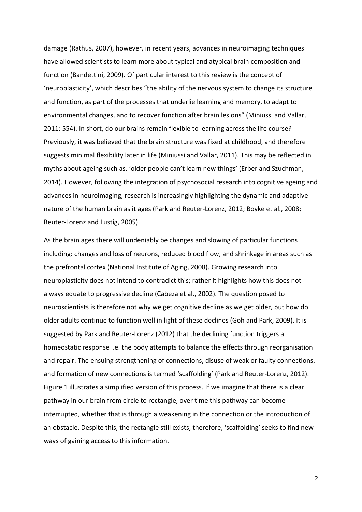damage (Rathus, 2007), however, in recent years, advances in neuroimaging techniques have allowed scientists to learn more about typical and atypical brain composition and function (Bandettini, 2009). Of particular interest to this review is the concept of 'neuroplasticity', which describes "the ability of the nervous system to change its structure and function, as part of the processes that underlie learning and memory, to adapt to environmental changes, and to recover function after brain lesions" (Miniussi and Vallar, 2011: 554). In short, do our brains remain flexible to learning across the life course? Previously, it was believed that the brain structure was fixed at childhood, and therefore suggests minimal flexibility later in life (Miniussi and Vallar, 2011). This may be reflected in myths about ageing such as, 'older people can't learn new things' (Erber and Szuchman, 2014). However, following the integration of psychosocial research into cognitive ageing and advances in neuroimaging, research is increasingly highlighting the dynamic and adaptive nature of the human brain as it ages (Park and Reuter-Lorenz, 2012; Boyke et al., 2008; Reuter-Lorenz and Lustig, 2005).

As the brain ages there will undeniably be changes and slowing of particular functions including: changes and loss of neurons, reduced blood flow, and shrinkage in areas such as the prefrontal cortex (National Institute of Aging, 2008). Growing research into neuroplasticity does not intend to contradict this; rather it highlights how this does not always equate to progressive decline (Cabeza et al., 2002). The question posed to neuroscientists is therefore not why we get cognitive decline as we get older, but how do older adults continue to function well in light of these declines (Goh and Park, 2009). It is suggested by Park and Reuter-Lorenz (2012) that the declining function triggers a homeostatic response i.e. the body attempts to balance the effects through reorganisation and repair. The ensuing strengthening of connections, disuse of weak or faulty connections, and formation of new connections is termed 'scaffolding' (Park and Reuter-Lorenz, 2012). Figure 1 illustrates a simplified version of this process. If we imagine that there is a clear pathway in our brain from circle to rectangle, over time this pathway can become interrupted, whether that is through a weakening in the connection or the introduction of an obstacle. Despite this, the rectangle still exists; therefore, 'scaffolding' seeks to find new ways of gaining access to this information.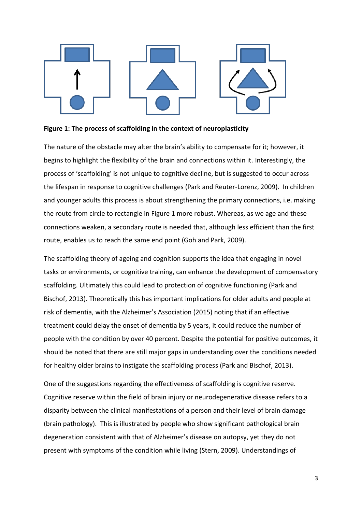

#### **Figure 1: The process of scaffolding in the context of neuroplasticity**

The nature of the obstacle may alter the brain's ability to compensate for it; however, it begins to highlight the flexibility of the brain and connections within it. Interestingly, the process of 'scaffolding' is not unique to cognitive decline, but is suggested to occur across the lifespan in response to cognitive challenges (Park and Reuter-Lorenz, 2009). In children and younger adults this process is about strengthening the primary connections, i.e. making the route from circle to rectangle in Figure 1 more robust. Whereas, as we age and these connections weaken, a secondary route is needed that, although less efficient than the first route, enables us to reach the same end point (Goh and Park, 2009).

The scaffolding theory of ageing and cognition supports the idea that engaging in novel tasks or environments, or cognitive training, can enhance the development of compensatory scaffolding. Ultimately this could lead to protection of cognitive functioning (Park and Bischof, 2013). Theoretically this has important implications for older adults and people at risk of dementia, with the Alzheimer's Association (2015) noting that if an effective treatment could delay the onset of dementia by 5 years, it could reduce the number of people with the condition by over 40 percent. Despite the potential for positive outcomes, it should be noted that there are still major gaps in understanding over the conditions needed for healthy older brains to instigate the scaffolding process (Park and Bischof, 2013).

One of the suggestions regarding the effectiveness of scaffolding is cognitive reserve. Cognitive reserve within the field of brain injury or neurodegenerative disease refers to a disparity between the clinical manifestations of a person and their level of brain damage (brain pathology). This is illustrated by people who show significant pathological brain degeneration consistent with that of Alzheimer's disease on autopsy, yet they do not present with symptoms of the condition while living (Stern, 2009). Understandings of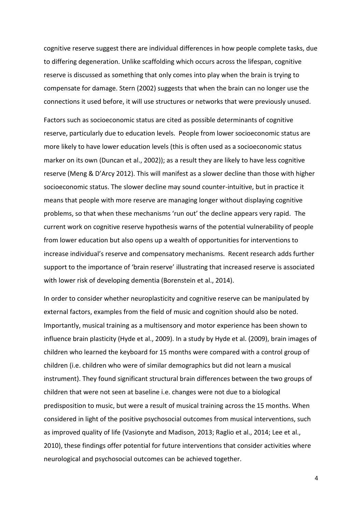cognitive reserve suggest there are individual differences in how people complete tasks, due to differing degeneration. Unlike scaffolding which occurs across the lifespan, cognitive reserve is discussed as something that only comes into play when the brain is trying to compensate for damage. Stern (2002) suggests that when the brain can no longer use the connections it used before, it will use structures or networks that were previously unused.

Factors such as socioeconomic status are cited as possible determinants of cognitive reserve, particularly due to education levels. People from lower socioeconomic status are more likely to have lower education levels (this is often used as a socioeconomic status marker on its own (Duncan et al., 2002)); as a result they are likely to have less cognitive reserve (Meng & D'Arcy 2012). This will manifest as a slower decline than those with higher socioeconomic status. The slower decline may sound counter-intuitive, but in practice it means that people with more reserve are managing longer without displaying cognitive problems, so that when these mechanisms 'run out' the decline appears very rapid. The current work on cognitive reserve hypothesis warns of the potential vulnerability of people from lower education but also opens up a wealth of opportunities for interventions to increase individual's reserve and compensatory mechanisms. Recent research adds further support to the importance of 'brain reserve' illustrating that increased reserve is associated with lower risk of developing dementia (Borenstein et al., 2014).

In order to consider whether neuroplasticity and cognitive reserve can be manipulated by external factors, examples from the field of music and cognition should also be noted. Importantly, musical training as a multisensory and motor experience has been shown to influence brain plasticity (Hyde et al., 2009). In a study by Hyde et al. (2009), brain images of children who learned the keyboard for 15 months were compared with a control group of children (i.e. children who were of similar demographics but did not learn a musical instrument). They found significant structural brain differences between the two groups of children that were not seen at baseline i.e. changes were not due to a biological predisposition to music, but were a result of musical training across the 15 months. When considered in light of the positive psychosocial outcomes from musical interventions, such as improved quality of life (Vasionyte and Madison, 2013; Raglio et al., 2014; Lee et al., 2010), these findings offer potential for future interventions that consider activities where neurological and psychosocial outcomes can be achieved together.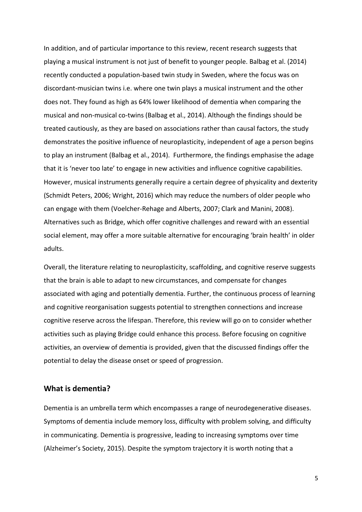In addition, and of particular importance to this review, recent research suggests that playing a musical instrument is not just of benefit to younger people. Balbag et al. (2014) recently conducted a population-based twin study in Sweden, where the focus was on discordant-musician twins i.e. where one twin plays a musical instrument and the other does not. They found as high as 64% lower likelihood of dementia when comparing the musical and non-musical co-twins (Balbag et al., 2014). Although the findings should be treated cautiously, as they are based on associations rather than causal factors, the study demonstrates the positive influence of neuroplasticity, independent of age a person begins to play an instrument (Balbag et al., 2014). Furthermore, the findings emphasise the adage that it is 'never too late' to engage in new activities and influence cognitive capabilities. However, musical instruments generally require a certain degree of physicality and dexterity (Schmidt Peters, 2006; Wright, 2016) which may reduce the numbers of older people who can engage with them (Voelcher-Rehage and Alberts, 2007; Clark and Manini, 2008). Alternatives such as Bridge, which offer cognitive challenges and reward with an essential social element, may offer a more suitable alternative for encouraging 'brain health' in older adults.

Overall, the literature relating to neuroplasticity, scaffolding, and cognitive reserve suggests that the brain is able to adapt to new circumstances, and compensate for changes associated with aging and potentially dementia. Further, the continuous process of learning and cognitive reorganisation suggests potential to strengthen connections and increase cognitive reserve across the lifespan. Therefore, this review will go on to consider whether activities such as playing Bridge could enhance this process. Before focusing on cognitive activities, an overview of dementia is provided, given that the discussed findings offer the potential to delay the disease onset or speed of progression.

#### **What is dementia?**

Dementia is an umbrella term which encompasses a range of neurodegenerative diseases. Symptoms of dementia include memory loss, difficulty with problem solving, and difficulty in communicating. Dementia is progressive, leading to increasing symptoms over time (Alzheimer's Society, 2015). Despite the symptom trajectory it is worth noting that a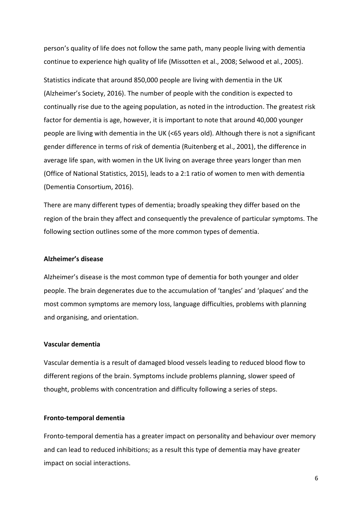person's quality of life does not follow the same path, many people living with dementia continue to experience high quality of life (Missotten et al., 2008; Selwood et al., 2005).

Statistics indicate that around 850,000 people are living with dementia in the UK (Alzheimer's Society, 2016). The number of people with the condition is expected to continually rise due to the ageing population, as noted in the introduction. The greatest risk factor for dementia is age, however, it is important to note that around 40,000 younger people are living with dementia in the UK (<65 years old). Although there is not a significant gender difference in terms of risk of dementia (Ruitenberg et al., 2001), the difference in average life span, with women in the UK living on average three years longer than men (Office of National Statistics, 2015), leads to a 2:1 ratio of women to men with dementia (Dementia Consortium, 2016).

There are many different types of dementia; broadly speaking they differ based on the region of the brain they affect and consequently the prevalence of particular symptoms. The following section outlines some of the more common types of dementia.

#### **Alzheimer's disease**

Alzheimer's disease is the most common type of dementia for both younger and older people. The brain degenerates due to the accumulation of 'tangles' and 'plaques' and the most common symptoms are memory loss, language difficulties, problems with planning and organising, and orientation.

## **Vascular dementia**

Vascular dementia is a result of damaged blood vessels leading to reduced blood flow to different regions of the brain. Symptoms include problems planning, slower speed of thought, problems with concentration and difficulty following a series of steps.

#### **Fronto-temporal dementia**

Fronto-temporal dementia has a greater impact on personality and behaviour over memory and can lead to reduced inhibitions; as a result this type of dementia may have greater impact on social interactions.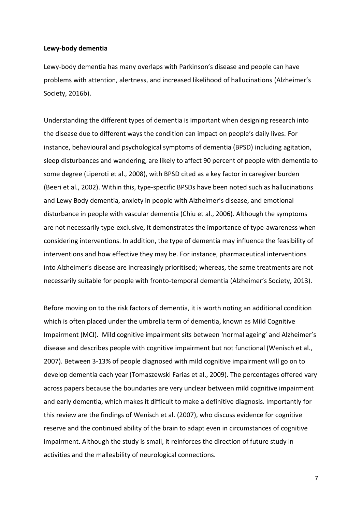#### **Lewy-body dementia**

Lewy-body dementia has many overlaps with Parkinson's disease and people can have problems with attention, alertness, and increased likelihood of hallucinations (Alzheimer's Society, 2016b).

Understanding the different types of dementia is important when designing research into the disease due to different ways the condition can impact on people's daily lives. For instance, behavioural and psychological symptoms of dementia (BPSD) including agitation, sleep disturbances and wandering, are likely to affect 90 percent of people with dementia to some degree (Liperoti et al., 2008), with BPSD cited as a key factor in caregiver burden (Beeri et al., 2002). Within this, type-specific BPSDs have been noted such as hallucinations and Lewy Body dementia, anxiety in people with Alzheimer's disease, and emotional disturbance in people with vascular dementia (Chiu et al., 2006). Although the symptoms are not necessarily type-exclusive, it demonstrates the importance of type-awareness when considering interventions. In addition, the type of dementia may influence the feasibility of interventions and how effective they may be. For instance, pharmaceutical interventions into Alzheimer's disease are increasingly prioritised; whereas, the same treatments are not necessarily suitable for people with fronto-temporal dementia (Alzheimer's Society, 2013).

Before moving on to the risk factors of dementia, it is worth noting an additional condition which is often placed under the umbrella term of dementia, known as Mild Cognitive Impairment (MCI). Mild cognitive impairment sits between 'normal ageing' and Alzheimer's disease and describes people with cognitive impairment but not functional (Wenisch et al., 2007). Between 3-13% of people diagnosed with mild cognitive impairment will go on to develop dementia each year (Tomaszewski Farias et al., 2009). The percentages offered vary across papers because the boundaries are very unclear between mild cognitive impairment and early dementia, which makes it difficult to make a definitive diagnosis. Importantly for this review are the findings of Wenisch et al. (2007), who discuss evidence for cognitive reserve and the continued ability of the brain to adapt even in circumstances of cognitive impairment. Although the study is small, it reinforces the direction of future study in activities and the malleability of neurological connections.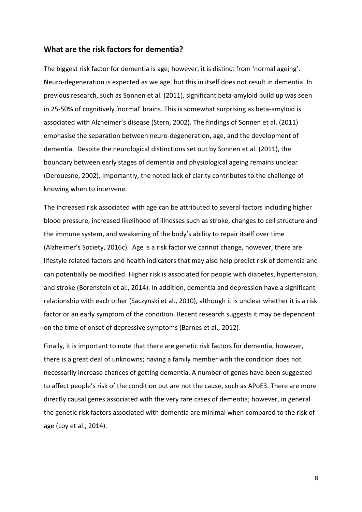# **What are the risk factors for dementia?**

The biggest risk factor for dementia is age; however, it is distinct from 'normal ageing'. Neuro-degeneration is expected as we age, but this in itself does not result in dementia. In previous research, such as Sonnen et al. (2011), significant beta-amyloid build up was seen in 25-50% of cognitively 'normal' brains. This is somewhat surprising as beta-amyloid is associated with Alzheimer's disease (Stern, 2002). The findings of Sonnen et al. (2011) emphasise the separation between neuro-degeneration, age, and the development of dementia. Despite the neurological distinctions set out by Sonnen et al. (2011), the boundary between early stages of dementia and physiological ageing remains unclear (Derouesne, 2002). Importantly, the noted lack of clarity contributes to the challenge of knowing when to intervene.

The increased risk associated with age can be attributed to several factors including higher blood pressure, increased likelihood of illnesses such as stroke, changes to cell structure and the immune system, and weakening of the body's ability to repair itself over time (Alzheimer's Society, 2016c). Age is a risk factor we cannot change, however, there are lifestyle related factors and health indicators that may also help predict risk of dementia and can potentially be modified. Higher risk is associated for people with diabetes, hypertension, and stroke (Borenstein et al., 2014). In addition, dementia and depression have a significant relationship with each other (Saczynski et al., 2010), although it is unclear whether it is a risk factor or an early symptom of the condition. Recent research suggests it may be dependent on the time of onset of depressive symptoms (Barnes et al., 2012).

Finally, it is important to note that there are genetic risk factors for dementia, however, there is a great deal of unknowns; having a family member with the condition does not necessarily increase chances of getting dementia. A number of genes have been suggested to affect people's risk of the condition but are not the cause, such as APoE3. There are more directly causal genes associated with the very rare cases of dementia; however, in general the genetic risk factors associated with dementia are minimal when compared to the risk of age (Loy et al., 2014).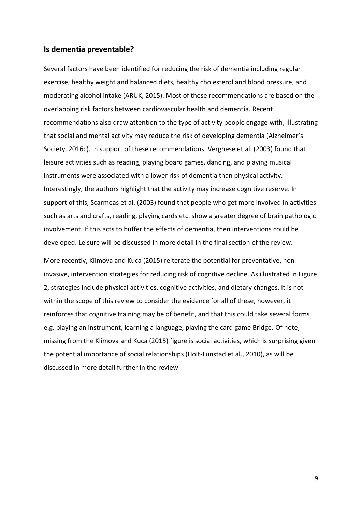### **Is dementia preventable?**

Several factors have been identified for reducing the risk of dementia including regular exercise, healthy weight and balanced diets, healthy cholesterol and blood pressure, and moderating alcohol intake (ARUK, 2015). Most of these recommendations are based on the overlapping risk factors between cardiovascular health and dementia. Recent recommendations also draw attention to the type of activity people engage with, illustrating that social and mental activity may reduce the risk of developing dementia (Alzheimer's Society, 2016c). In support of these recommendations, Verghese et al. (2003) found that leisure activities such as reading, playing board games, dancing, and playing musical instruments were associated with a lower risk of dementia than physical activity. Interestingly, the authors highlight that the activity may increase cognitive reserve. In support of this, Scarmeas et al. (2003) found that people who get more involved in activities such as arts and crafts, reading, playing cards etc. show a greater degree of brain pathologic involvement. If this acts to buffer the effects of dementia, then interventions could be developed. Leisure will be discussed in more detail in the final section of the review.

More recently, Klimova and Kuca (2015) reiterate the potential for preventative, noninvasive, intervention strategies for reducing risk of cognitive decline. As illustrated in Figure 2, strategies include physical activities, cognitive activities, and dietary changes. It is not within the scope of this review to consider the evidence for all of these, however, it reinforces that cognitive training may be of benefit, and that this could take several forms e.g. playing an instrument, learning a language, playing the card game Bridge. Of note, missing from the Klimova and Kuca (2015) figure is social activities, which is surprising given the potential importance of social relationships (Holt-Lunstad et al., 2010), as will be discussed in more detail further in the review.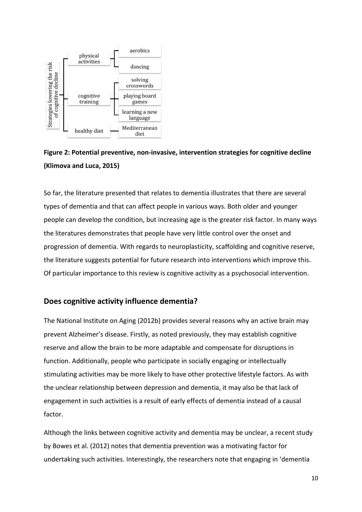



So far, the literature presented that relates to dementia illustrates that there are several types of dementia and that can affect people in various ways. Both older and younger people can develop the condition, but increasing age is the greater risk factor. In many ways the literatures demonstrates that people have very little control over the onset and progression of dementia. With regards to neuroplasticity, scaffolding and cognitive reserve, the literature suggests potential for future research into interventions which improve this. Of particular importance to this review is cognitive activity as a psychosocial intervention.

#### **Does cognitive activity influence dementia?**

The National Institute on Aging (2012b) provides several reasons why an active brain may prevent Alzheimer's disease. Firstly, as noted previously, they may establish cognitive reserve and allow the brain to be more adaptable and compensate for disruptions in function. Additionally, people who participate in socially engaging or intellectually stimulating activities may be more likely to have other protective lifestyle factors. As with the unclear relationship between depression and dementia, it may also be that lack of engagement in such activities is a result of early effects of dementia instead of a causal factor.

Although the links between cognitive activity and dementia may be unclear, a recent study by Bowes et al. (2012) notes that dementia prevention was a motivating factor for undertaking such activities. Interestingly, the researchers note that engaging in 'dementia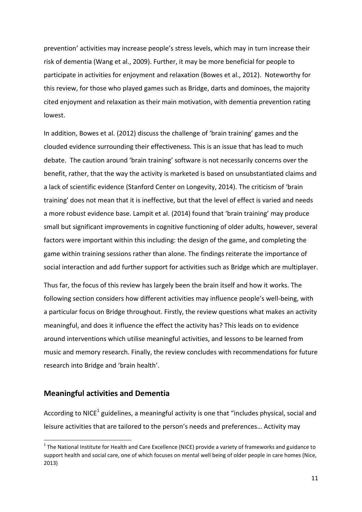prevention' activities may increase people's stress levels, which may in turn increase their risk of dementia (Wang et al., 2009). Further, it may be more beneficial for people to participate in activities for enjoyment and relaxation (Bowes et al., 2012). Noteworthy for this review, for those who played games such as Bridge, darts and dominoes, the majority cited enjoyment and relaxation as their main motivation, with dementia prevention rating lowest.

In addition, Bowes et al. (2012) discuss the challenge of 'brain training' games and the clouded evidence surrounding their effectiveness. This is an issue that has lead to much debate. The caution around 'brain training' software is not necessarily concerns over the benefit, rather, that the way the activity is marketed is based on unsubstantiated claims and a lack of scientific evidence (Stanford Center on Longevity, 2014). The criticism of 'brain training' does not mean that it is ineffective, but that the level of effect is varied and needs a more robust evidence base. Lampit et al. (2014) found that 'brain training' may produce small but significant improvements in cognitive functioning of older adults, however, several factors were important within this including: the design of the game, and completing the game within training sessions rather than alone. The findings reiterate the importance of social interaction and add further support for activities such as Bridge which are multiplayer.

Thus far, the focus of this review has largely been the brain itself and how it works. The following section considers how different activities may influence people's well-being, with a particular focus on Bridge throughout. Firstly, the review questions what makes an activity meaningful, and does it influence the effect the activity has? This leads on to evidence around interventions which utilise meaningful activities, and lessons to be learned from music and memory research. Finally, the review concludes with recommendations for future research into Bridge and 'brain health'.

#### **Meaningful activities and Dementia**

1

According to NICE<sup>1</sup> guidelines, a meaningful activity is one that "includes physical, social and leisure activities that are tailored to the person's needs and preferences… Activity may

 $1$  The National Institute for Health and Care Excellence (NICE) provide a variety of frameworks and guidance to support health and social care, one of which focuses on mental well being of older people in care homes (Nice, 2013)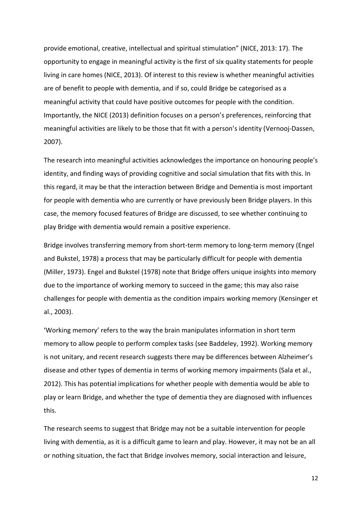provide emotional, creative, intellectual and spiritual stimulation" (NICE, 2013: 17). The opportunity to engage in meaningful activity is the first of six quality statements for people living in care homes (NICE, 2013). Of interest to this review is whether meaningful activities are of benefit to people with dementia, and if so, could Bridge be categorised as a meaningful activity that could have positive outcomes for people with the condition. Importantly, the NICE (2013) definition focuses on a person's preferences, reinforcing that meaningful activities are likely to be those that fit with a person's identity (Vernooj-Dassen, 2007).

The research into meaningful activities acknowledges the importance on honouring people's identity, and finding ways of providing cognitive and social simulation that fits with this. In this regard, it may be that the interaction between Bridge and Dementia is most important for people with dementia who are currently or have previously been Bridge players. In this case, the memory focused features of Bridge are discussed, to see whether continuing to play Bridge with dementia would remain a positive experience.

Bridge involves transferring memory from short-term memory to long-term memory (Engel and Bukstel, 1978) a process that may be particularly difficult for people with dementia (Miller, 1973). Engel and Bukstel (1978) note that Bridge offers unique insights into memory due to the importance of working memory to succeed in the game; this may also raise challenges for people with dementia as the condition impairs working memory (Kensinger et al., 2003).

'Working memory' refers to the way the brain manipulates information in short term memory to allow people to perform complex tasks (see Baddeley, 1992). Working memory is not unitary, and recent research suggests there may be differences between Alzheimer's disease and other types of dementia in terms of working memory impairments (Sala et al., 2012). This has potential implications for whether people with dementia would be able to play or learn Bridge, and whether the type of dementia they are diagnosed with influences this.

The research seems to suggest that Bridge may not be a suitable intervention for people living with dementia, as it is a difficult game to learn and play. However, it may not be an all or nothing situation, the fact that Bridge involves memory, social interaction and leisure,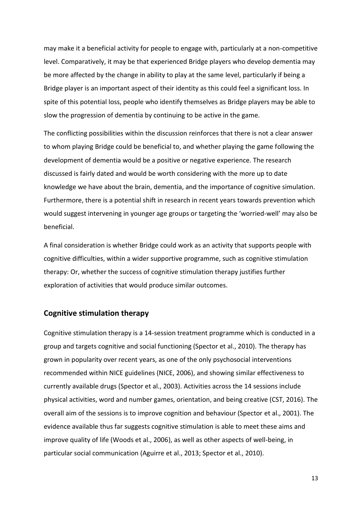may make it a beneficial activity for people to engage with, particularly at a non-competitive level. Comparatively, it may be that experienced Bridge players who develop dementia may be more affected by the change in ability to play at the same level, particularly if being a Bridge player is an important aspect of their identity as this could feel a significant loss. In spite of this potential loss, people who identify themselves as Bridge players may be able to slow the progression of dementia by continuing to be active in the game.

The conflicting possibilities within the discussion reinforces that there is not a clear answer to whom playing Bridge could be beneficial to, and whether playing the game following the development of dementia would be a positive or negative experience. The research discussed is fairly dated and would be worth considering with the more up to date knowledge we have about the brain, dementia, and the importance of cognitive simulation. Furthermore, there is a potential shift in research in recent years towards prevention which would suggest intervening in younger age groups or targeting the 'worried-well' may also be beneficial.

A final consideration is whether Bridge could work as an activity that supports people with cognitive difficulties, within a wider supportive programme, such as cognitive stimulation therapy: Or, whether the success of cognitive stimulation therapy justifies further exploration of activities that would produce similar outcomes.

# **Cognitive stimulation therapy**

Cognitive stimulation therapy is a 14-session treatment programme which is conducted in a group and targets cognitive and social functioning (Spector et al., 2010). The therapy has grown in popularity over recent years, as one of the only psychosocial interventions recommended within NICE guidelines (NICE, 2006), and showing similar effectiveness to currently available drugs (Spector et al., 2003). Activities across the 14 sessions include physical activities, word and number games, orientation, and being creative (CST, 2016). The overall aim of the sessions is to improve cognition and behaviour (Spector et al., 2001). The evidence available thus far suggests cognitive stimulation is able to meet these aims and improve quality of life (Woods et al., 2006), as well as other aspects of well-being, in particular social communication (Aguirre et al., 2013; Spector et al., 2010).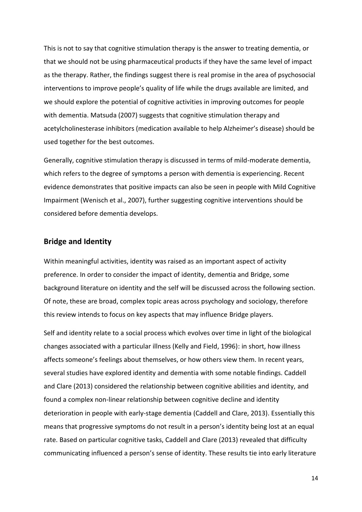This is not to say that cognitive stimulation therapy is the answer to treating dementia, or that we should not be using pharmaceutical products if they have the same level of impact as the therapy. Rather, the findings suggest there is real promise in the area of psychosocial interventions to improve people's quality of life while the drugs available are limited, and we should explore the potential of cognitive activities in improving outcomes for people with dementia. Matsuda (2007) suggests that cognitive stimulation therapy and acetylcholinesterase inhibitors (medication available to help Alzheimer's disease) should be used together for the best outcomes.

Generally, cognitive stimulation therapy is discussed in terms of mild-moderate dementia, which refers to the degree of symptoms a person with dementia is experiencing. Recent evidence demonstrates that positive impacts can also be seen in people with Mild Cognitive Impairment (Wenisch et al., 2007), further suggesting cognitive interventions should be considered before dementia develops.

## **Bridge and Identity**

Within meaningful activities, identity was raised as an important aspect of activity preference. In order to consider the impact of identity, dementia and Bridge, some background literature on identity and the self will be discussed across the following section. Of note, these are broad, complex topic areas across psychology and sociology, therefore this review intends to focus on key aspects that may influence Bridge players.

Self and identity relate to a social process which evolves over time in light of the biological changes associated with a particular illness (Kelly and Field, 1996): in short, how illness affects someone's feelings about themselves, or how others view them. In recent years, several studies have explored identity and dementia with some notable findings. Caddell and Clare (2013) considered the relationship between cognitive abilities and identity, and found a complex non-linear relationship between cognitive decline and identity deterioration in people with early-stage dementia (Caddell and Clare, 2013). Essentially this means that progressive symptoms do not result in a person's identity being lost at an equal rate. Based on particular cognitive tasks, Caddell and Clare (2013) revealed that difficulty communicating influenced a person's sense of identity. These results tie into early literature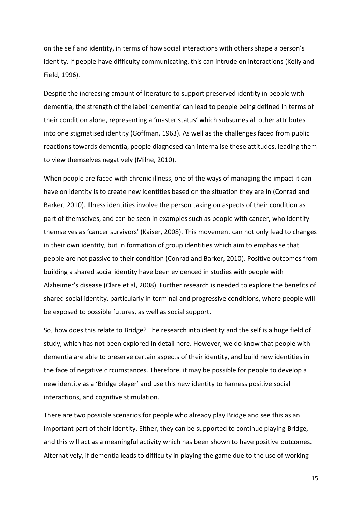on the self and identity, in terms of how social interactions with others shape a person's identity. If people have difficulty communicating, this can intrude on interactions (Kelly and Field, 1996).

Despite the increasing amount of literature to support preserved identity in people with dementia, the strength of the label 'dementia' can lead to people being defined in terms of their condition alone, representing a 'master status' which subsumes all other attributes into one stigmatised identity (Goffman, 1963). As well as the challenges faced from public reactions towards dementia, people diagnosed can internalise these attitudes, leading them to view themselves negatively (Milne, 2010).

When people are faced with chronic illness, one of the ways of managing the impact it can have on identity is to create new identities based on the situation they are in (Conrad and Barker, 2010). Illness identities involve the person taking on aspects of their condition as part of themselves, and can be seen in examples such as people with cancer, who identify themselves as 'cancer survivors' (Kaiser, 2008). This movement can not only lead to changes in their own identity, but in formation of group identities which aim to emphasise that people are not passive to their condition (Conrad and Barker, 2010). Positive outcomes from building a shared social identity have been evidenced in studies with people with Alzheimer's disease (Clare et al, 2008). Further research is needed to explore the benefits of shared social identity, particularly in terminal and progressive conditions, where people will be exposed to possible futures, as well as social support.

So, how does this relate to Bridge? The research into identity and the self is a huge field of study, which has not been explored in detail here. However, we do know that people with dementia are able to preserve certain aspects of their identity, and build new identities in the face of negative circumstances. Therefore, it may be possible for people to develop a new identity as a 'Bridge player' and use this new identity to harness positive social interactions, and cognitive stimulation.

There are two possible scenarios for people who already play Bridge and see this as an important part of their identity. Either, they can be supported to continue playing Bridge, and this will act as a meaningful activity which has been shown to have positive outcomes. Alternatively, if dementia leads to difficulty in playing the game due to the use of working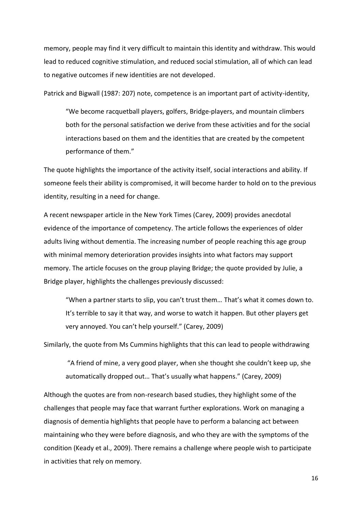memory, people may find it very difficult to maintain this identity and withdraw. This would lead to reduced cognitive stimulation, and reduced social stimulation, all of which can lead to negative outcomes if new identities are not developed.

Patrick and Bigwall (1987: 207) note, competence is an important part of activity-identity,

"We become racquetball players, golfers, Bridge-players, and mountain climbers both for the personal satisfaction we derive from these activities and for the social interactions based on them and the identities that are created by the competent performance of them."

The quote highlights the importance of the activity itself, social interactions and ability. If someone feels their ability is compromised, it will become harder to hold on to the previous identity, resulting in a need for change.

A recent newspaper article in the New York Times (Carey, 2009) provides anecdotal evidence of the importance of competency. The article follows the experiences of older adults living without dementia. The increasing number of people reaching this age group with minimal memory deterioration provides insights into what factors may support memory. The article focuses on the group playing Bridge; the quote provided by Julie, a Bridge player, highlights the challenges previously discussed:

"When a partner starts to slip, you can't trust them… That's what it comes down to. It's terrible to say it that way, and worse to watch it happen. But other players get very annoyed. You can't help yourself." (Carey, 2009)

Similarly, the quote from Ms Cummins highlights that this can lead to people withdrawing

"A friend of mine, a very good player, when she thought she couldn't keep up, she automatically dropped out… That's usually what happens." (Carey, 2009)

Although the quotes are from non-research based studies, they highlight some of the challenges that people may face that warrant further explorations. Work on managing a diagnosis of dementia highlights that people have to perform a balancing act between maintaining who they were before diagnosis, and who they are with the symptoms of the condition (Keady et al., 2009). There remains a challenge where people wish to participate in activities that rely on memory.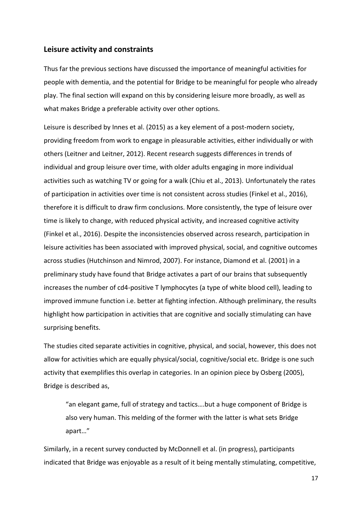## **Leisure activity and constraints**

Thus far the previous sections have discussed the importance of meaningful activities for people with dementia, and the potential for Bridge to be meaningful for people who already play. The final section will expand on this by considering leisure more broadly, as well as what makes Bridge a preferable activity over other options.

Leisure is described by Innes et al. (2015) as a key element of a post-modern society, providing freedom from work to engage in pleasurable activities, either individually or with others (Leitner and Leitner, 2012). Recent research suggests differences in trends of individual and group leisure over time, with older adults engaging in more individual activities such as watching TV or going for a walk (Chiu et al., 2013). Unfortunately the rates of participation in activities over time is not consistent across studies (Finkel et al., 2016), therefore it is difficult to draw firm conclusions. More consistently, the type of leisure over time is likely to change, with reduced physical activity, and increased cognitive activity (Finkel et al., 2016). Despite the inconsistencies observed across research, participation in leisure activities has been associated with improved physical, social, and cognitive outcomes across studies (Hutchinson and Nimrod, 2007). For instance, Diamond et al. (2001) in a preliminary study have found that Bridge activates a part of our brains that subsequently increases the number of cd4-positive T lymphocytes (a type of white blood cell), leading to improved immune function i.e. better at fighting infection. Although preliminary, the results highlight how participation in activities that are cognitive and socially stimulating can have surprising benefits.

The studies cited separate activities in cognitive, physical, and social, however, this does not allow for activities which are equally physical/social, cognitive/social etc. Bridge is one such activity that exemplifies this overlap in categories. In an opinion piece by Osberg (2005), Bridge is described as,

"an elegant game, full of strategy and tactics….but a huge component of Bridge is also very human. This melding of the former with the latter is what sets Bridge apart…"

Similarly, in a recent survey conducted by McDonnell et al. (in progress), participants indicated that Bridge was enjoyable as a result of it being mentally stimulating, competitive,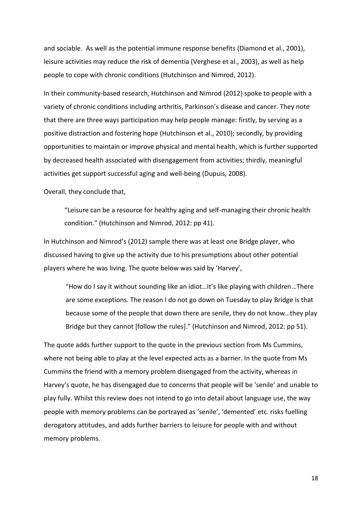and sociable. As well as the potential immune response benefits (Diamond et al., 2001), leisure activities may reduce the risk of dementia (Verghese et al., 2003), as well as help people to cope with chronic conditions (Hutchinson and Nimrod, 2012).

In their community-based research, Hutchinson and Nimrod (2012) spoke to people with a variety of chronic conditions including arthritis, Parkinson's disease and cancer. They note that there are three ways participation may help people manage: firstly, by serving as a positive distraction and fostering hope (Hutchinson et al., 2010); secondly, by providing opportunities to maintain or improve physical and mental health, which is further supported by decreased health associated with disengagement from activities; thirdly, meaningful activities get support successful aging and well-being (Dupuis, 2008).

Overall, they conclude that,

"Leisure can be a resource for healthy aging and self-managing their chronic health condition." (Hutchinson and Nimrod, 2012: pp 41).

In Hutchinson and Nimrod's (2012) sample there was at least one Bridge player, who discussed having to give up the activity due to his presumptions about other potential players where he was living. The quote below was said by 'Harvey',

"How do I say it without sounding like an idiot…It's like playing with children…There are some exceptions. The reason I do not go down on Tuesday to play Bridge is that because some of the people that down there are senile, they do not know…they play Bridge but they cannot [follow the rules]." (Hutchinson and Nimrod, 2012: pp 51).

The quote adds further support to the quote in the previous section from Ms Cummins, where not being able to play at the level expected acts as a barrier. In the quote from Ms Cummins the friend with a memory problem disengaged from the activity, whereas in Harvey's quote, he has disengaged due to concerns that people will be 'senile' and unable to play fully. Whilst this review does not intend to go into detail about language use, the way people with memory problems can be portrayed as 'senile', 'demented' etc. risks fuelling derogatory attitudes, and adds further barriers to leisure for people with and without memory problems.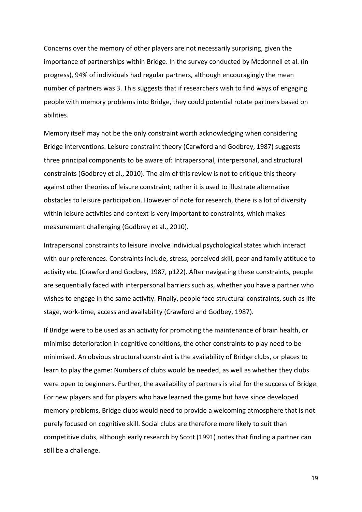Concerns over the memory of other players are not necessarily surprising, given the importance of partnerships within Bridge. In the survey conducted by Mcdonnell et al. (in progress), 94% of individuals had regular partners, although encouragingly the mean number of partners was 3. This suggests that if researchers wish to find ways of engaging people with memory problems into Bridge, they could potential rotate partners based on abilities.

Memory itself may not be the only constraint worth acknowledging when considering Bridge interventions. Leisure constraint theory (Carwford and Godbrey, 1987) suggests three principal components to be aware of: Intrapersonal, interpersonal, and structural constraints (Godbrey et al., 2010). The aim of this review is not to critique this theory against other theories of leisure constraint; rather it is used to illustrate alternative obstacles to leisure participation. However of note for research, there is a lot of diversity within leisure activities and context is very important to constraints, which makes measurement challenging (Godbrey et al., 2010).

Intrapersonal constraints to leisure involve individual psychological states which interact with our preferences. Constraints include, stress, perceived skill, peer and family attitude to activity etc. (Crawford and Godbey, 1987, p122). After navigating these constraints, people are sequentially faced with interpersonal barriers such as, whether you have a partner who wishes to engage in the same activity. Finally, people face structural constraints, such as life stage, work-time, access and availability (Crawford and Godbey, 1987).

If Bridge were to be used as an activity for promoting the maintenance of brain health, or minimise deterioration in cognitive conditions, the other constraints to play need to be minimised. An obvious structural constraint is the availability of Bridge clubs, or places to learn to play the game: Numbers of clubs would be needed, as well as whether they clubs were open to beginners. Further, the availability of partners is vital for the success of Bridge. For new players and for players who have learned the game but have since developed memory problems, Bridge clubs would need to provide a welcoming atmosphere that is not purely focused on cognitive skill. Social clubs are therefore more likely to suit than competitive clubs, although early research by Scott (1991) notes that finding a partner can still be a challenge.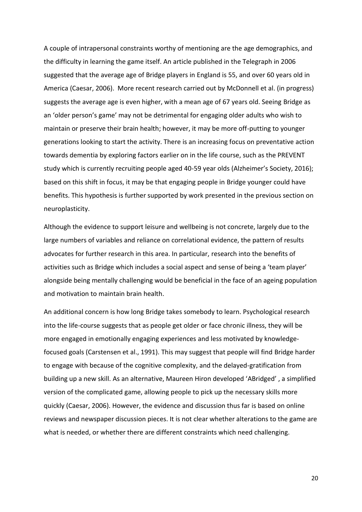A couple of intrapersonal constraints worthy of mentioning are the age demographics, and the difficulty in learning the game itself. An article published in the Telegraph in 2006 suggested that the average age of Bridge players in England is 55, and over 60 years old in America (Caesar, 2006). More recent research carried out by McDonnell et al. (in progress) suggests the average age is even higher, with a mean age of 67 years old. Seeing Bridge as an 'older person's game' may not be detrimental for engaging older adults who wish to maintain or preserve their brain health; however, it may be more off-putting to younger generations looking to start the activity. There is an increasing focus on preventative action towards dementia by exploring factors earlier on in the life course, such as the PREVENT study which is currently recruiting people aged 40-59 year olds (Alzheimer's Society, 2016); based on this shift in focus, it may be that engaging people in Bridge younger could have benefits. This hypothesis is further supported by work presented in the previous section on neuroplasticity.

Although the evidence to support leisure and wellbeing is not concrete, largely due to the large numbers of variables and reliance on correlational evidence, the pattern of results advocates for further research in this area. In particular, research into the benefits of activities such as Bridge which includes a social aspect and sense of being a 'team player' alongside being mentally challenging would be beneficial in the face of an ageing population and motivation to maintain brain health.

An additional concern is how long Bridge takes somebody to learn. Psychological research into the life-course suggests that as people get older or face chronic illness, they will be more engaged in emotionally engaging experiences and less motivated by knowledgefocused goals (Carstensen et al., 1991). This may suggest that people will find Bridge harder to engage with because of the cognitive complexity, and the delayed-gratification from building up a new skill. As an alternative, Maureen Hiron developed 'ABridged' , a simplified version of the complicated game, allowing people to pick up the necessary skills more quickly (Caesar, 2006). However, the evidence and discussion thus far is based on online reviews and newspaper discussion pieces. It is not clear whether alterations to the game are what is needed, or whether there are different constraints which need challenging.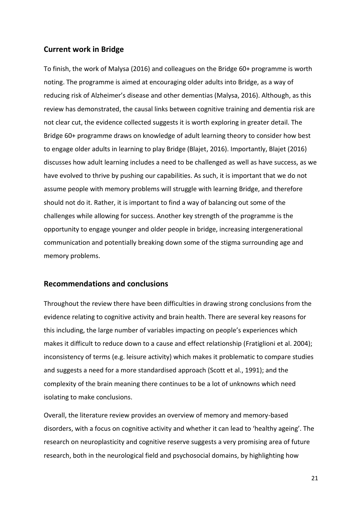# **Current work in Bridge**

To finish, the work of Malysa (2016) and colleagues on the Bridge 60+ programme is worth noting. The programme is aimed at encouraging older adults into Bridge, as a way of reducing risk of Alzheimer's disease and other dementias (Malysa, 2016). Although, as this review has demonstrated, the causal links between cognitive training and dementia risk are not clear cut, the evidence collected suggests it is worth exploring in greater detail. The Bridge 60+ programme draws on knowledge of adult learning theory to consider how best to engage older adults in learning to play Bridge (Blajet, 2016). Importantly, Blajet (2016) discusses how adult learning includes a need to be challenged as well as have success, as we have evolved to thrive by pushing our capabilities. As such, it is important that we do not assume people with memory problems will struggle with learning Bridge, and therefore should not do it. Rather, it is important to find a way of balancing out some of the challenges while allowing for success. Another key strength of the programme is the opportunity to engage younger and older people in bridge, increasing intergenerational communication and potentially breaking down some of the stigma surrounding age and memory problems.

# **Recommendations and conclusions**

Throughout the review there have been difficulties in drawing strong conclusions from the evidence relating to cognitive activity and brain health. There are several key reasons for this including, the large number of variables impacting on people's experiences which makes it difficult to reduce down to a cause and effect relationship (Fratiglioni et al. 2004); inconsistency of terms (e.g. leisure activity) which makes it problematic to compare studies and suggests a need for a more standardised approach (Scott et al., 1991); and the complexity of the brain meaning there continues to be a lot of unknowns which need isolating to make conclusions.

Overall, the literature review provides an overview of memory and memory-based disorders, with a focus on cognitive activity and whether it can lead to 'healthy ageing'. The research on neuroplasticity and cognitive reserve suggests a very promising area of future research, both in the neurological field and psychosocial domains, by highlighting how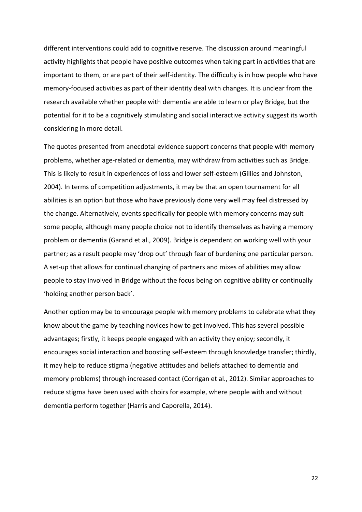different interventions could add to cognitive reserve. The discussion around meaningful activity highlights that people have positive outcomes when taking part in activities that are important to them, or are part of their self-identity. The difficulty is in how people who have memory-focused activities as part of their identity deal with changes. It is unclear from the research available whether people with dementia are able to learn or play Bridge, but the potential for it to be a cognitively stimulating and social interactive activity suggest its worth considering in more detail.

The quotes presented from anecdotal evidence support concerns that people with memory problems, whether age-related or dementia, may withdraw from activities such as Bridge. This is likely to result in experiences of loss and lower self-esteem (Gillies and Johnston, 2004). In terms of competition adjustments, it may be that an open tournament for all abilities is an option but those who have previously done very well may feel distressed by the change. Alternatively, events specifically for people with memory concerns may suit some people, although many people choice not to identify themselves as having a memory problem or dementia (Garand et al., 2009). Bridge is dependent on working well with your partner; as a result people may 'drop out' through fear of burdening one particular person. A set-up that allows for continual changing of partners and mixes of abilities may allow people to stay involved in Bridge without the focus being on cognitive ability or continually 'holding another person back'.

Another option may be to encourage people with memory problems to celebrate what they know about the game by teaching novices how to get involved. This has several possible advantages; firstly, it keeps people engaged with an activity they enjoy; secondly, it encourages social interaction and boosting self-esteem through knowledge transfer; thirdly, it may help to reduce stigma (negative attitudes and beliefs attached to dementia and memory problems) through increased contact (Corrigan et al., 2012). Similar approaches to reduce stigma have been used with choirs for example, where people with and without dementia perform together (Harris and Caporella, 2014).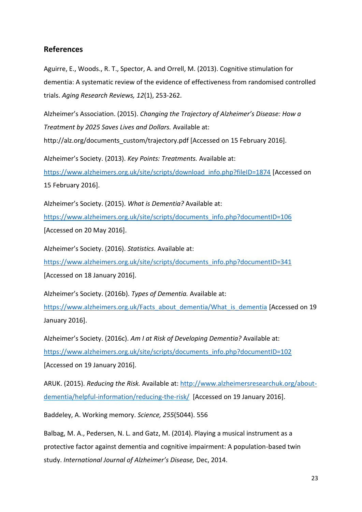# **References**

Aguirre, E., Woods., R. T., Spector, A. and Orrell, M. (2013). Cognitive stimulation for dementia: A systematic review of the evidence of effectiveness from randomised controlled trials. *Aging Research Reviews, 12*(1), 253-262.

Alzheimer's Association. (2015). *Changing the Trajectory of Alzheimer's Disease: How a Treatment by 2025 Saves Lives and Dollars.* Available at:

http://alz.org/documents\_custom/trajectory.pdf [Accessed on 15 February 2016].

Alzheimer's Society. (2013). *Key Points: Treatments.* Available at:

[https://www.alzheimers.org.uk/site/scripts/download\\_info.php?fileID=1874](https://www.alzheimers.org.uk/site/scripts/download_info.php?fileID=1874) [Accessed on 15 February 2016].

Alzheimer's Society. (2015). *What is Dementia?* Available at: [https://www.alzheimers.org.uk/site/scripts/documents\\_info.php?documentID=106](https://www.alzheimers.org.uk/site/scripts/documents_info.php?documentID=106) [Accessed on 20 May 2016].

Alzheimer's Society. (2016). *Statistics.* Available at: [https://www.alzheimers.org.uk/site/scripts/documents\\_info.php?documentID=341](https://www.alzheimers.org.uk/site/scripts/documents_info.php?documentID=341) [Accessed on 18 January 2016].

Alzheimer's Society. (2016b). *Types of Dementia.* Available at: [https://www.alzheimers.org.uk/Facts\\_about\\_dementia/What\\_is\\_dementia](https://www.alzheimers.org.uk/Facts_about_dementia/What_is_dementia) [Accessed on 19

January 2016].

Alzheimer's Society. (2016c). *Am I at Risk of Developing Dementia?* Available at: [https://www.alzheimers.org.uk/site/scripts/documents\\_info.php?documentID=102](https://www.alzheimers.org.uk/site/scripts/documents_info.php?documentID=102) [Accessed on 19 January 2016].

ARUK. (2015). *Reducing the Risk.* Available at: [http://www.alzheimersresearchuk.org/about](http://www.alzheimersresearchuk.org/about-dementia/helpful-information/reducing-the-risk/)[dementia/helpful-information/reducing-the-risk/](http://www.alzheimersresearchuk.org/about-dementia/helpful-information/reducing-the-risk/) [Accessed on 19 January 2016].

Baddeley, A. Working memory. *Science, 255*(5044). 556

Balbag, M. A., Pedersen, N. L. and Gatz, M. (2014). Playing a musical instrument as a protective factor against dementia and cognitive impairment: A population-based twin study. *International Journal of Alzheimer's Disease,* Dec, 2014.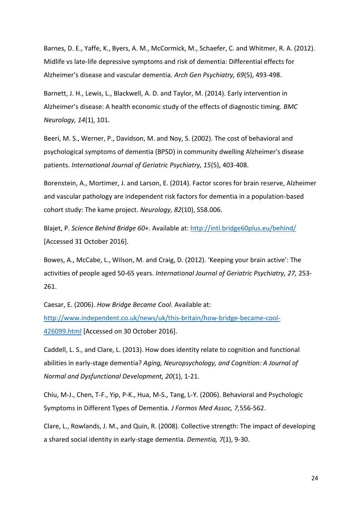Barnes, D. E., Yaffe, K., Byers, A. M., McCormick, M., Schaefer, C. and Whitmer, R. A. (2012). Midlife vs late-life depressive symptoms and risk of dementia: Differential effects for Alzheimer's disease and vascular dementia*. Arch Gen Psychiatry, 69*(5), 493-498.

Barnett, J. H., Lewis, L., Blackwell, A. D. and Taylor, M. (2014). Early intervention in Alzheimer's disease: A health economic study of the effects of diagnostic timing. *BMC Neurology, 14*(1), 101.

Beeri, M. S., Werner, P., Davidson, M. and Noy, S. (2002). The cost of behavioral and psychological symptoms of dementia (BPSD) in community dwelling Alzheimer's disease patients. *International Journal of Geriatric Psychiatry, 15*(5), 403-408.

Borenstein, A., Mortimer, J. and Larson, E. (2014). Factor scores for brain reserve, Alzheimer and vascular pathology are independent risk factors for dementia in a population-based cohort study: The kame project. *Neurology, 82*(10), S58.006.

Blajet, P. *Science Behind Bridge 60+.* Available at:<http://intl.bridge60plus.eu/behind/> [Accessed 31 October 2016].

Bowes, A., McCabe, L., Wilson, M. and Craig, D. (2012). 'Keeping your brain active': The activities of people aged 50-65 years. *International Journal of Geriatric Psychiatry, 27,* 253- 261.

Caesar, E. (2006). *How Bridge Became Cool.* Available at: [http://www.independent.co.uk/news/uk/this-britain/how-bridge-became-cool-](http://www.independent.co.uk/news/uk/this-britain/how-bridge-became-cool-426099.html)[426099.html](http://www.independent.co.uk/news/uk/this-britain/how-bridge-became-cool-426099.html) [Accessed on 30 October 2016].

Caddell, L. S., and Clare, L. (2013). How does identity relate to cognition and functional abilities in early-stage dementia? *Aging, Neuropsychology, and Cognition: A Journal of Normal and Dysfunctional Development, 20*(1), 1-21.

Chiu, M-J., Chen, T-F., Yip, P-K., Hua, M-S., Tang, L-Y. (2006). Behavioral and Psychologic Symptoms in Different Types of Dementia*. J Formos Med Assoc, 7,*556-562.

Clare, L., Rowlands, J. M., and Quin, R. (2008). Collective strength: The impact of developing a shared social identity in early-stage dementia. *Dementia, 7*(1), 9-30.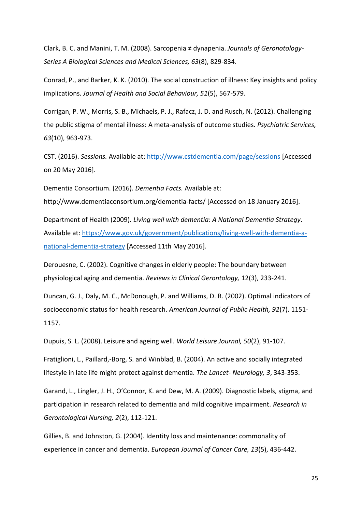Clark, B. C. and Manini, T. M. (2008). Sarcopenia **≠** dynapenia. *Journals of Geronotology-Series A Biological Sciences and Medical Sciences, 63*(8), 829-834.

Conrad, P., and Barker, K. K. (2010). The social construction of illness: Key insights and policy implications. *Journal of Health and Social Behaviour, 51*(5), 567-579.

Corrigan, P. W., Morris, S. B., Michaels, P. J., Rafacz, J. D. and Rusch, N. (2012). Challenging the public stigma of mental illness: A meta-analysis of outcome studies. *Psychiatric Services, 63*(10), 963-973.

CST. (2016). *Sessions.* Available at[: http://www.cstdementia.com/page/sessions](http://www.cstdementia.com/page/sessions) [Accessed on 20 May 2016].

Dementia Consortium. (2016). *Dementia Facts.* Available at: http://www.dementiaconsortium.org/dementia-facts/ [Accessed on 18 January 2016].

Department of Health (2009). *Living well with dementia: A National Dementia Strategy*. Available at: [https://www.gov.uk/government/publications/living-well-with-dementia-a](https://www.gov.uk/government/publications/living-well-with-dementia-a-national-dementia-strategy)[national-dementia-strategy](https://www.gov.uk/government/publications/living-well-with-dementia-a-national-dementia-strategy) [Accessed 11th May 2016].

Derouesne, C. (2002). Cognitive changes in elderly people: The boundary between physiological aging and dementia. *Reviews in Clinical Gerontology,* 12(3), 233-241.

Duncan, G. J., Daly, M. C., McDonough, P. and Williams, D. R. (2002). Optimal indicators of socioeconomic status for health research. *American Journal of Public Health, 92*(7). 1151- 1157.

Dupuis, S. L. (2008). Leisure and ageing well. *World Leisure Journal, 50*(2), 91-107.

Fratiglioni, L., Paillard,-Borg, S. and Winblad, B. (2004). An active and socially integrated lifestyle in late life might protect against dementia. *The Lancet- Neurology, 3*, 343-353.

Garand, L., Lingler, J. H., O'Connor, K. and Dew, M. A. (2009). Diagnostic labels, stigma, and participation in research related to dementia and mild cognitive impairment. *Research in Gerontological Nursing, 2*(2), 112-121.

Gillies, B. and Johnston, G. (2004). Identity loss and maintenance: commonality of experience in cancer and dementia. *European Journal of Cancer Care, 13*(5), 436-442.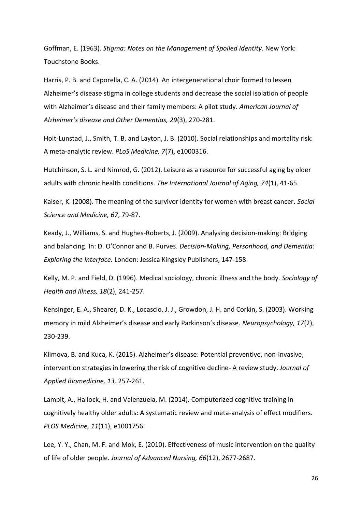Goffman, E. (1963). *Stigma: Notes on the Management of Spoiled Identity*. New York: Touchstone Books.

Harris, P. B. and Caporella, C. A. (2014). An intergenerational choir formed to lessen Alzheimer's disease stigma in college students and decrease the social isolation of people with Alzheimer's disease and their family members: A pilot study. *American Journal of Alzheimer's disease and Other Dementias, 29*(3), 270-281.

Holt-Lunstad, J., Smith, T. B. and Layton, J. B. (2010). Social relationships and mortality risk: A meta-analytic review. *PLoS Medicine, 7*(7), e1000316.

Hutchinson, S. L. and Nimrod, G. (2012). Leisure as a resource for successful aging by older adults with chronic health conditions. *The International Journal of Aging, 74*(1), 41-65.

Kaiser, K. (2008). The meaning of the survivor identity for women with breast cancer. *Social Science and Medicine, 67*, 79-87.

Keady, J., Williams, S. and Hughes-Roberts, J. (2009). Analysing decision-making: Bridging and balancing. In: D. O'Connor and B. Purves. *Decision-Making, Personhood, and Dementia: Exploring the Interface.* London: Jessica Kingsley Publishers, 147-158.

Kelly, M. P. and Field, D. (1996). Medical sociology, chronic illness and the body. *Sociology of Health and Illness, 18*(2), 241-257.

Kensinger, E. A., Shearer, D. K., Locascio, J. J., Growdon, J. H. and Corkin, S. (2003). Working memory in mild Alzheimer's disease and early Parkinson's disease. *Neuropsychology, 17*(2), 230-239.

Klimova, B. and Kuca, K. (2015). Alzheimer's disease: Potential preventive, non-invasive, intervention strategies in lowering the risk of cognitive decline- A review study. *Journal of Applied Biomedicine, 13,* 257-261.

Lampit, A., Hallock, H. and Valenzuela, M. (2014). Computerized cognitive training in cognitively healthy older adults: A systematic review and meta-analysis of effect modifiers. *PLOS Medicine, 11*(11), e1001756.

Lee, Y. Y., Chan, M. F. and Mok, E. (2010). Effectiveness of music intervention on the quality of life of older people. *Journal of Advanced Nursing, 66*(12), 2677-2687.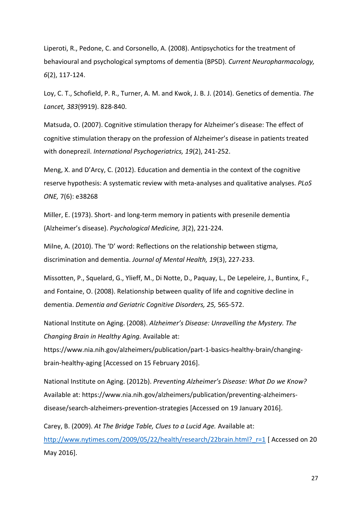Liperoti, R., Pedone, C. and Corsonello, A. (2008). Antipsychotics for the treatment of behavioural and psychological symptoms of dementia (BPSD). *Current Neuropharmacology, 6*(2), 117-124.

Loy, C. T., Schofield, P. R., Turner, A. M. and Kwok, J. B. J. (2014). Genetics of dementia. *The Lancet, 383*(9919). 828-840.

Matsuda, O. (2007). Cognitive stimulation therapy for Alzheimer's disease: The effect of cognitive stimulation therapy on the profession of Alzheimer's disease in patients treated with doneprezil. *International Psychogeriatrics, 19*(2), 241-252.

Meng, X. and D'Arcy, C. (2012). Education and dementia in the context of the cognitive reserve hypothesis: A systematic review with meta-analyses and qualitative analyses. *PLoS ONE,* 7(6): e38268

Miller, E. (1973). Short- and long-term memory in patients with presenile dementia (Alzheimer's disease). *Psychological Medicine, 3*(2), 221-224.

Milne, A. (2010). The 'D' word: Reflections on the relationship between stigma, discrimination and dementia. *Journal of Mental Health, 19*(3), 227-233.

Missotten, P., Squelard, G., Ylieff, M., Di Notte, D., Paquay, L., De Lepeleire, J., Buntinx, F., and Fontaine, O. (2008). Relationship between quality of life and cognitive decline in dementia. *Dementia and Geriatric Cognitive Disorders, 25,* 565-572.

National Institute on Aging. (2008). *Alzheimer's Disease: Unravelling the Mystery. The Changing Brain in Healthy Aging.* Available at:

https://www.nia.nih.gov/alzheimers/publication/part-1-basics-healthy-brain/changingbrain-healthy-aging [Accessed on 15 February 2016].

National Institute on Aging. (2012b). *Preventing Alzheimer's Disease: What Do we Know?*  Available at: https://www.nia.nih.gov/alzheimers/publication/preventing-alzheimersdisease/search-alzheimers-prevention-strategies [Accessed on 19 January 2016].

Carey, B. (2009). *At The Bridge Table, Clues to a Lucid Age.* Available at: http://www.nytimes.com/2009/05/22/health/research/22brain.html? r=1 [ Accessed on 20 May 2016].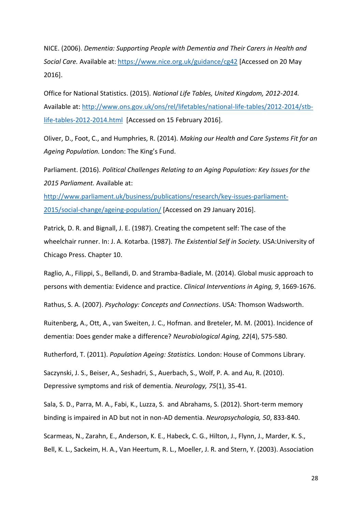NICE. (2006). *Dementia: Supporting People with Dementia and Their Carers in Health and Social Care.* Available at:<https://www.nice.org.uk/guidance/cg42> [Accessed on 20 May 2016].

Office for National Statistics. (2015). *National Life Tables, United Kingdom, 2012-2014.* Available at: [http://www.ons.gov.uk/ons/rel/lifetables/national-life-tables/2012-2014/stb](http://www.ons.gov.uk/ons/rel/lifetables/national-life-tables/2012-2014/stb-life-tables-2012-2014.html)[life-tables-2012-2014.html](http://www.ons.gov.uk/ons/rel/lifetables/national-life-tables/2012-2014/stb-life-tables-2012-2014.html) [Accessed on 15 February 2016].

Oliver, D., Foot, C., and Humphries, R. (2014). *Making our Health and Care Systems Fit for an Ageing Population.* London: The King's Fund.

Parliament. (2016). *Political Challenges Relating to an Aging Population: Key Issues for the 2015 Parliament.* Available at:

[http://www.parliament.uk/business/publications/research/key-issues-parliament-](http://www.parliament.uk/business/publications/research/key-issues-parliament-2015/social-change/ageing-population/)[2015/social-change/ageing-population/](http://www.parliament.uk/business/publications/research/key-issues-parliament-2015/social-change/ageing-population/) [Accessed on 29 January 2016].

Patrick, D. R. and Bignall, J. E. (1987). Creating the competent self: The case of the wheelchair runner. In: J. A. Kotarba. (1987). *The Existential Self in Society.* USA:University of Chicago Press. Chapter 10.

Raglio, A., Filippi, S., Bellandi, D. and Stramba-Badiale, M. (2014). Global music approach to persons with dementia: Evidence and practice. *Clinical Interventions in Aging, 9*, 1669-1676.

Rathus, S. A. (2007). *Psychology: Concepts and Connections*. USA: Thomson Wadsworth.

Ruitenberg, A., Ott, A., van Sweiten, J. C., Hofman. and Breteler, M. M. (2001). Incidence of dementia: Does gender make a difference? *Neurobiological Aging, 22*(4), 575-580.

Rutherford, T. (2011). *Population Ageing: Statistics.* London: House of Commons Library.

Saczynski, J. S., Beiser, A., Seshadri, S., Auerbach, S., Wolf, P. A. and Au, R. (2010). Depressive symptoms and risk of dementia. *Neurology, 75*(1), 35-41.

Sala, S. D., Parra, M. A., Fabi, K., Luzza, S. and Abrahams, S. (2012). Short-term memory binding is impaired in AD but not in non-AD dementia. *Neuropsychologia, 50*, 833-840.

Scarmeas, N., Zarahn, E., Anderson, K. E., Habeck, C. G., Hilton, J., Flynn, J., Marder, K. S., Bell, K. L., Sackeim, H. A., Van Heertum, R. L., Moeller, J. R. and Stern, Y. (2003). Association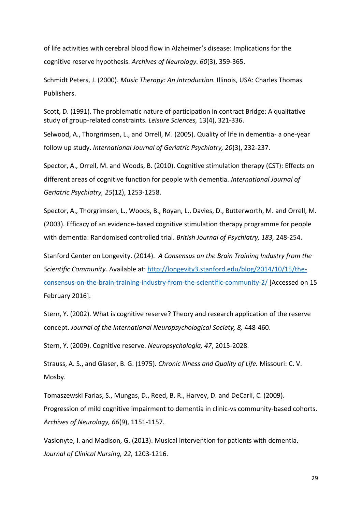of life activities with cerebral blood flow in Alzheimer's disease: Implications for the cognitive reserve hypothesis. *Archives of Neurology. 60*(3), 359-365.

Schmidt Peters, J. (2000). *Music Therapy: An Introduction.* Illinois, USA: Charles Thomas Publishers.

Scott, D. (1991). The problematic nature of participation in contract Bridge: A qualitative study of group-related constraints. *Leisure Sciences,* 13(4), 321-336.

Selwood, A., Thorgrimsen, L., and Orrell, M. (2005). Quality of life in dementia- a one-year follow up study. *International Journal of Geriatric Psychiatry, 20*(3), 232-237.

Spector, A., Orrell, M. and Woods, B. (2010). Cognitive stimulation therapy (CST): Effects on different areas of cognitive function for people with dementia. *International Journal of Geriatric Psychiatry, 25*(12), 1253-1258.

Spector, A., Thorgrimsen, L., Woods, B., Royan, L., Davies, D., Butterworth, M. and Orrell, M. (2003). Efficacy of an evidence-based cognitive stimulation therapy programme for people with dementia: Randomised controlled trial. *British Journal of Psychiatry, 183,* 248-254.

Stanford Center on Longevity. (2014). *A Consensus on the Brain Training Industry from the Scientific Community.* Available at: [http://longevity3.stanford.edu/blog/2014/10/15/the](http://longevity3.stanford.edu/blog/2014/10/15/the-consensus-on-the-brain-training-industry-from-the-scientific-community-2/)[consensus-on-the-brain-training-industry-from-the-scientific-community-2/](http://longevity3.stanford.edu/blog/2014/10/15/the-consensus-on-the-brain-training-industry-from-the-scientific-community-2/) [Accessed on 15 February 2016].

Stern, Y. (2002). What is cognitive reserve? Theory and research application of the reserve concept. *Journal of the International Neuropsychological Society, 8,* 448-460.

Stern, Y. (2009). Cognitive reserve. *Neuropsychologia, 47*, 2015-2028.

Strauss, A. S., and Glaser, B. G. (1975). *Chronic Illness and Quality of Life.* Missouri: C. V. Mosby.

Tomaszewski Farias, S., Mungas, D., Reed, B. R., Harvey, D. and DeCarli, C. (2009). Progression of mild cognitive impairment to dementia in clinic-vs community-based cohorts. *Archives of Neurology, 66*(9), 1151-1157.

Vasionyte, I. and Madison, G. (2013). Musical intervention for patients with dementia. *Journal of Clinical Nursing, 22,* 1203-1216.